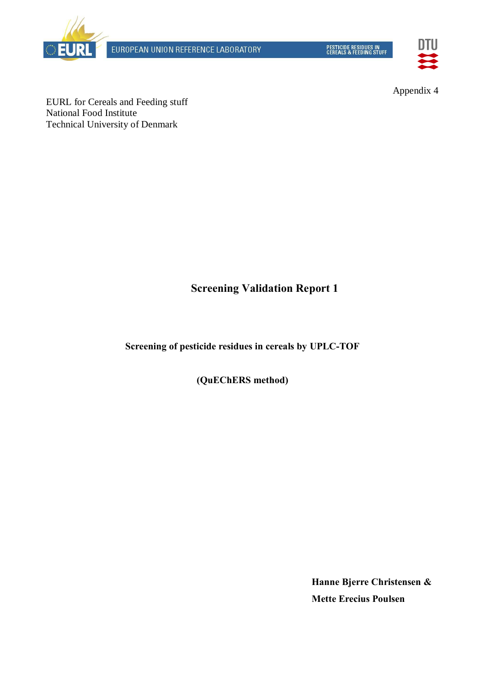

EUROPEAN UNION REFERENCE LABORATORY

PESTICIDE RESIDUES IN<br>CEREALS & FEEDING STUFF



Appendix 4

EURL for Cereals and Feeding stuff National Food Institute Technical University of Denmark

# **Screening Validation Report 1**

**Screening of pesticide residues in cereals by UPLC-TOF** 

**(QuEChERS method)**

**Hanne Bjerre Christensen & Mette Erecius Poulsen**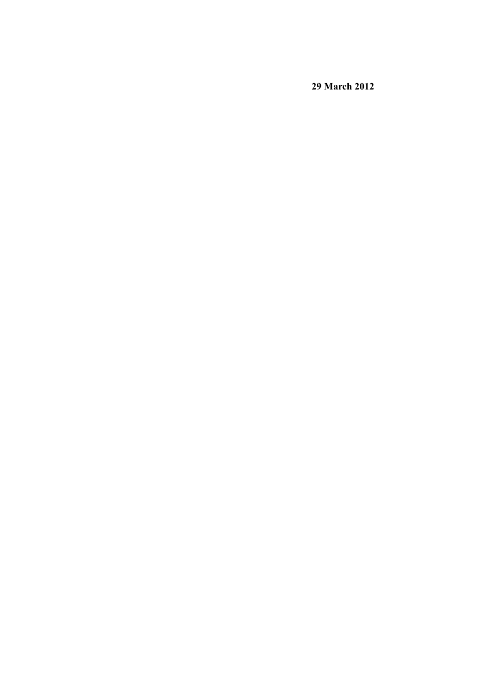**29 March 2012**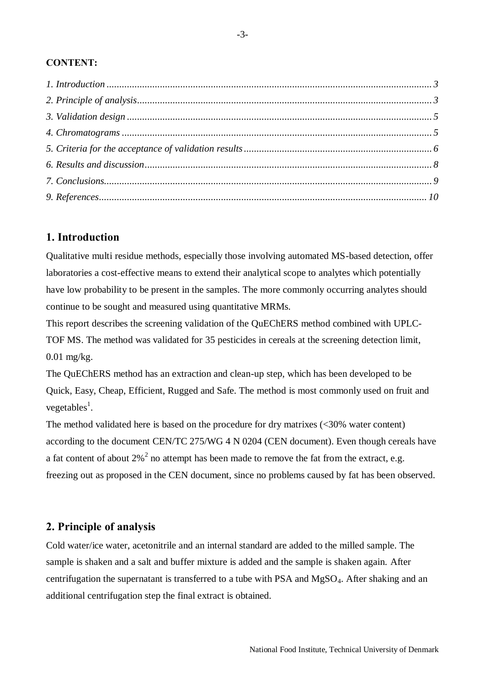### **CONTENT:**

# <span id="page-2-0"></span>**1. Introduction**

Qualitative multi residue methods, especially those involving automated MS-based detection, offer laboratories a cost-effective means to extend their analytical scope to analytes which potentially have low probability to be present in the samples. The more commonly occurring analytes should continue to be sought and measured using quantitative MRMs.

This report describes the screening validation of the QuEChERS method combined with UPLC-TOF MS. The method was validated for 35 pesticides in cereals at the screening detection limit, 0.01 mg/kg.

The QuEChERS method has an extraction and clean-up step, which has been developed to be Quick, Easy, Cheap, Efficient, Rugged and Safe. The method is most commonly used on fruit and vegetables<sup>1</sup>.

The method validated here is based on the procedure for dry matrixes (<30% water content) according to the document CEN/TC 275/WG 4 N 0204 (CEN document). Even though cereals have a fat content of about  $2\%^2$  no attempt has been made to remove the fat from the extract, e.g. freezing out as proposed in the CEN document, since no problems caused by fat has been observed.

# <span id="page-2-1"></span>**2. Principle of analysis**

Cold water/ice water, acetonitrile and an internal standard are added to the milled sample. The sample is shaken and a salt and buffer mixture is added and the sample is shaken again. After centrifugation the supernatant is transferred to a tube with PSA and MgSO4. After shaking and an additional centrifugation step the final extract is obtained.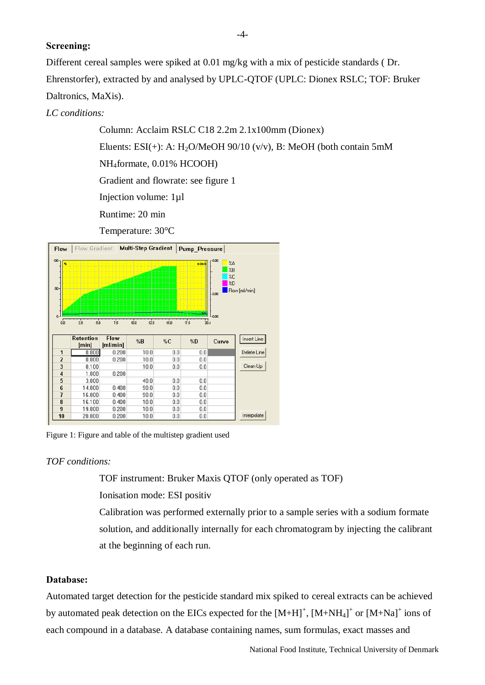#### **Screening:**

Different cereal samples were spiked at 0.01 mg/kg with a mix of pesticide standards ( Dr. Ehrenstorfer), extracted by and analysed by UPLC-QTOF (UPLC: Dionex RSLC; TOF: Bruker Daltronics, MaXis).

### *LC conditions:*

Column: Acclaim RSLC C18 2.2m 2.1x100mm (Dionex) Eluents: ESI(+): A: H<sub>2</sub>O/MeOH 90/10 (v/v), B: MeOH (both contain 5mM NH4formate, 0.01% HCOOH) Gradient and flowrate: see figure 1 Injection volume: 1µl Runtime: 20 min

Temperature: 30°C



Figure 1: Figure and table of the multistep gradient used

#### *TOF conditions:*

TOF instrument: Bruker Maxis QTOF (only operated as TOF)

Ionisation mode: ESI positiv

Calibration was performed externally prior to a sample series with a sodium formate solution, and additionally internally for each chromatogram by injecting the calibrant at the beginning of each run.

#### **Database:**

Automated target detection for the pesticide standard mix spiked to cereal extracts can be achieved by automated peak detection on the EICs expected for the  $[M+H]^+$ ,  $[M+NH_4]^+$  or  $[M+Na]^+$  ions of each compound in a database. A database containing names, sum formulas, exact masses and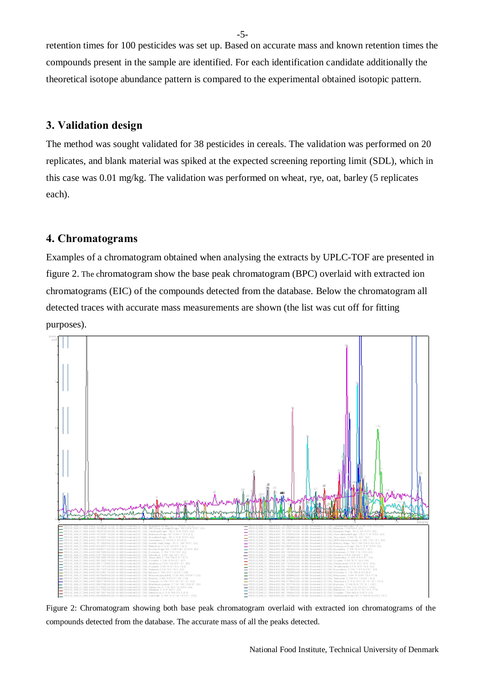retention times for 100 pesticides was set up. Based on accurate mass and known retention times the compounds present in the sample are identified. For each identification candidate additionally the theoretical isotope abundance pattern is compared to the experimental obtained isotopic pattern.

## <span id="page-4-0"></span>**3. Validation design**

The method was sought validated for 38 pesticides in cereals. The validation was performed on 20 replicates, and blank material was spiked at the expected screening reporting limit (SDL), which in this case was 0.01 mg/kg. The validation was performed on wheat, rye, oat, barley (5 replicates each).

## <span id="page-4-1"></span>**4. Chromatograms**

Examples of a chromatogram obtained when analysing the extracts by UPLC-TOF are presented in figure 2. The chromatogram show the base peak chromatogram (BPC) overlaid with extracted ion chromatograms (EIC) of the compounds detected from the database. Below the chromatogram all detected traces with accurate mass measurements are shown (the list was cut off for fitting purposes).



Figure 2: Chromatogram showing both base peak chromatogram overlaid with extracted ion chromatograms of the compounds detected from the database. The accurate mass of all the peaks detected.

-5-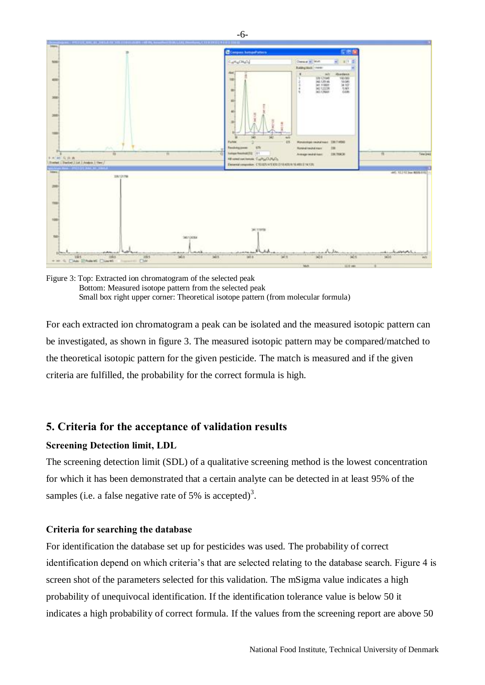

Figure 3: Top: Extracted ion chromatogram of the selected peak Bottom: Measured isotope pattern from the selected peak Small box right upper corner: Theoretical isotope pattern (from molecular formula)

For each extracted ion chromatogram a peak can be isolated and the measured isotopic pattern can be investigated, as shown in figure 3. The measured isotopic pattern may be compared/matched to the theoretical isotopic pattern for the given pesticide. The match is measured and if the given criteria are fulfilled, the probability for the correct formula is high.

# <span id="page-5-0"></span>**5. Criteria for the acceptance of validation results**

#### **Screening Detection limit, LDL**

The screening detection limit (SDL) of a qualitative screening method is the lowest concentration for which it has been demonstrated that a certain analyte can be detected in at least 95% of the samples (i.e. a false negative rate of 5% is accepted)<sup>3</sup>.

#### **Criteria for searching the database**

For identification the database set up for pesticides was used. The probability of correct identification depend on which criteria's that are selected relating to the database search. Figure 4 is screen shot of the parameters selected for this validation. The mSigma value indicates a high probability of unequivocal identification. If the identification tolerance value is below 50 it indicates a high probability of correct formula. If the values from the screening report are above 50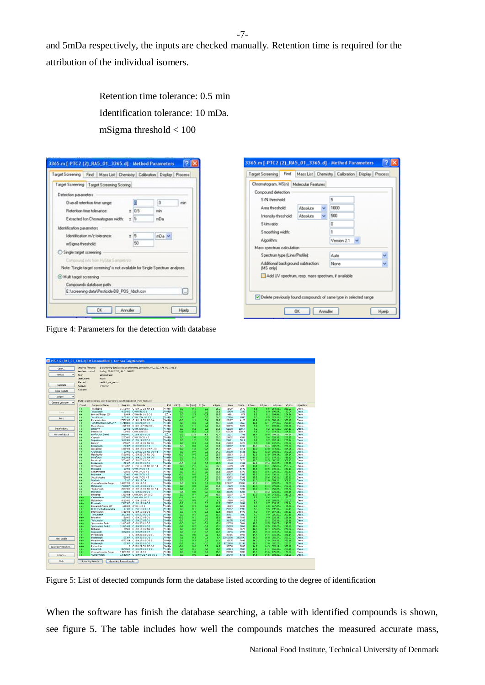and 5mDa respectively, the inputs are checked manually. Retention time is required for the attribution of the individual isomers.

> Retention time tolerance: 0.5 min Identification tolerance: 10 mDa. mSigma threshold < 100



Figure 4: Parameters for the detection with database

| Open                | Analysis filename:<br>Analysis created: | fredag, 27-01-2012, 16:51:08 UTC                                          |                     | E:\screening data\Validation Screening_pesticides\-PTC2 (2)_RA5_01_3365.d |                                 |                  |             |                  |              |                  |                |              |                   |                    |                    |                |
|---------------------|-----------------------------------------|---------------------------------------------------------------------------|---------------------|---------------------------------------------------------------------------|---------------------------------|------------------|-------------|------------------|--------------|------------------|----------------|--------------|-------------------|--------------------|--------------------|----------------|
| Method<br>٠         | User:                                   | administrator                                                             |                     |                                                                           |                                 |                  |             |                  |              |                  |                |              |                   |                    |                    |                |
|                     | Instrument:                             | malós                                                                     |                     |                                                                           |                                 |                  |             |                  |              |                  |                |              |                   |                    |                    |                |
|                     | Method:                                 | pesticid ms pos.m                                                         |                     |                                                                           |                                 |                  |             |                  |              |                  |                |              |                   |                    |                    |                |
| Calibrate           | Sample:                                 | $-PTC2(2)$                                                                |                     |                                                                           |                                 |                  |             |                  |              |                  |                |              |                   |                    |                    |                |
| Clear Results       | Comment:                                |                                                                           |                     |                                                                           |                                 |                  |             |                  |              |                  |                |              |                   |                    |                    |                |
| Screen<br>٠         |                                         |                                                                           |                     |                                                                           |                                 |                  |             |                  |              |                  |                |              |                   |                    |                    |                |
|                     |                                         | Multi Target Screening with 'E:\screening data\Pesticide-DB_POS_hbch.csv' |                     |                                                                           |                                 |                  |             |                  |              |                  |                |              |                   |                    |                    |                |
| General Unknown -   | Found                                   | Compound Name                                                             |                     | Reg.No. Mol.Formula                                                       |                                 | PMI dRT[         | Err [ppm]   | Err [m           | mSigma       | Area             | Intens.        | RT, ex       | RT,me             | m/z, cabc.         | m/z, m             | Algorithm      |
|                     | $+$                                     | Thiadoprid                                                                |                     | 11198809 C10H10Cl1N4S1                                                    | $[14+11]+$                      | 0.0              | 0.1         | 0.0              | 25.2         | 18429            | 3670           | 6.6          | 6.6               | 253.03             | 253.03.            | Chrom          |
| Save                | $^{++}$                                 | Tricyclazole                                                              | 4181402             | <b>C9H8N3S1</b>                                                           | $[04 + 0] +$                    | $-0.0$           | 1.2         | 0.2              | 26.1         | 18404            | 3333           | 6.9          | 6.9               | 190.04             | 190.04.            | Chrom          |
|                     | $^{++}$                                 | Bromacil Fragm 205                                                        |                     | 31409 C5H6Br1N2O2                                                         | $[1]1+$                         | 0.0              | 2.3         | $-0.5$           | 38.5         | 4991             | 879            | 8.2          | 8.2               | 204.96             | 204.96             | Chrom          |
| Print               | $+$<br>$+$                              | Tebuthiuron<br>Pyraclostrobin                                             | 3401401<br>17501300 | C9H17N4O151<br>C19H19ClN3O4                                               | [M+H]+<br>$[14+1] +$            | 0.0<br>$-0.0$    | 0.2<br>1.1  | $-0.0$<br>0.4    | 26.9<br>29.7 | 22026<br>20127   | 4082<br>4120   | 8.5<br>12.9  | 8.5<br>12.9       | 229.11<br>388.10   | 229.11.<br>388.10. | Chrom<br>Chrom |
|                     | $^{+}$                                  | Tebufenozide Fragm 297                                                    | 11241008            | C18H21N2O2                                                                | $[14 + H] +$                    | $-0.0$           | 0.3         | $-0.1$           | 41.3         | 16520            | 3565           | 12.1         | 12.1              | 297.15             | 297.15.            | Chrom          |
|                     | $^{++}$                                 | Fluometuron                                                               | 216402              | C10H12F3N2O1                                                              | $[14 + 1] +$                    | 0.0              | 1.1         | 0.2              | 26.8         | 30845            | 5829           | 9.2          | 9.1               | 233.08             | 233.08.            | Chrom          |
| DataAnalysis        | $^{++}$                                 | Simetryn                                                                  | 101406              | <b>C8H16N551</b>                                                          | $[14 + 1] +$                    | $-0.0$           | 0.2         | $-0.1$           | 27.6         | 62138            | 10014          | 9.2          | 9.2               | 214.11             | 214.11.            | Chrom          |
| Print with Excel    | $+$<br>$+ +$                            | Desmetryn<br>Etofenprox (NH4)                                             | 8084401             | 101403 C8H16N551<br>C25H32N1O3                                            | $[M+H]+$<br>$[1]1+$             | $-0.1$<br>0.3    | 0.2<br>12.5 | $-0.1$<br>$-4.9$ | 27.6<br>42.4 | 62138<br>2231    | 10014<br>701   | 9.1<br>16.7  | 9.2<br>16.4       | 214.11<br>394.23   | 214.11.<br>394.24  | Chrom<br>Chrom |
|                     | $^{++}$                                 | Cyprazin                                                                  | 2293603             | C9H15C1N5                                                                 | $14 + 11 +$                     | 0.0              | 1.0         | $-0.2$           | 30.0         | 24402            | 4509           | 9.6          | 9.6               | 228.10             | 228.10             | Chrom          |
|                     | $_{+}$                                  | Isoproburon                                                               |                     | 3412306 C12H19N2O1                                                        | [M+H]+                          | 0.0              | 1.2         | 0.2              | 30.4         | 24611            | <b>S011</b>    | 9.7          | 9.7               | 207.14             | 207.14             | Chrom          |
|                     | $+$                                     | Buturon                                                                   |                     | 376607 C12H14Cl1N2O1                                                      | IM+HI+                          | 0.0              | 0.4         | $-0.1$           | 31.1         | 21683            | 4227           | 9.8          | 9.8               | 237.07.            | 237.07.            | Chrom          |
|                     | $^{++}$                                 | Dodemorph                                                                 |                     | 159307 C18 H 36 N 1 O 1                                                   | $[14 + H] +$                    | 0.3              | 0.8         | 0.2              | 22.1         | 34287            | 4740           | 16.9         | 16.6              | 282.27             | 282.27.            | Chrom          |
|                     | $+$<br>$^{+}$                           | Isoxathion<br>Crufomate                                                   | 1885408             | C13H17N1O4P1S1<br>29905 C12H2OCIN1O3P1                                    | H <sub>14+M</sub><br>$[14+1] +$ | $-0.0$<br>$-0.0$ | 1.2<br>0.9  | $-0.4$<br>0.3    | 34.5<br>24.0 | 16141<br>29338   | 3311<br>6121   | 13.0<br>12.2 | 13.0<br>12.2      | 314.06<br>292.08   | 314.06.<br>292.08. | Chrom<br>Chrom |
|                     | $+$                                     | Metolachky                                                                |                     | 5121802 C15H23C1N1O2                                                      | $(H+H) +$                       | $-0.0$           | 0.5         | 0.2              | 28.5         | 16013            | 3113           | 11.9         | 11.9              | 284.14             | 284.14             | Chrom          |
|                     | وبالمر                                  | Dimefuron                                                                 | 3420505             | C15H20C1N4O3                                                              | $[14 + H] +$                    | 0.0              | 0.2         | $-0.1$           | 36.5         | 28448            | 5447           | 10.3         | 10.2              | 339.12             | 339.12.            | Chrom          |
|                     | $\ddotmark$                             | Furalaxyl                                                                 | 5764607             | C17H20N1O4                                                                | $[14+1] +$                      | 0.0              | 1.1         | $-0.3$           | 21.6         | 16865            | 3226           | 10.5         | 10.5              | 302.13             | 302.13             | Chrom          |
|                     |                                         | Dodemorph                                                                 |                     | 159307 C18 H 36 N 1 O 1                                                   | $[16 + H] +$                    | $-0.5$           | 1.8         | 0.5              | 12.0         | 6148             | 1391           | 16.9         | 17.4              | 282.27             | 282.27.            | Chrom          |
|                     |                                         | Orbencarb                                                                 | 3462207             | C12H17C1N10151<br>C9H17C11N5                                              | $[MAH] +$<br>$[14+1] +$         | 0.0<br>0.1       | 2.1<br>0.1  | $-0.5$           | 30.3<br>25.1 | 16569<br>23809   | 3702<br>5196   | 13.1         | 13.1<br>10.5      | 258.07.            | 258.07.            | Chrom<br>Chrom |
|                     |                                         | Propazine<br>Sebuthylazine                                                | 13902<br>728603     | C9H17C1N5                                                                 | $[14 + 14] +$                   | 0.0              | 0.1         | $-0.0$<br>$-0.0$ | 25.1         | 23809            | 5196           | 10.6<br>10.5 | 10.5              | 230.11<br>230.11   | 230.11.<br>230.11  | Chrom          |
|                     |                                         | Propazine                                                                 | 13902               | C9H17C1N5                                                                 | $[14 + 1] +$                    | $-0.0$           | 0.5         | 0.1              | 20.5         | 30672            | 5305           | 10.6         | 10.6              | 230.11             | 230.11             | Chrom          |
|                     |                                         | Sebuthylazine                                                             | 728603              | C9H17C1N5                                                                 | $[16+11]+$                      | $-0.1$           | 0.5         | 0.1              | 20.5         | 30672            | 5305           | 10.5         | 10.6              | 230.11             | 230.11.            | Chrom          |
|                     |                                         | Warfarin                                                                  | 8102                | C19H1704                                                                  | $[16 + H] +$                    | 0.0              | 1.3         | $-0.4$           | 32.5         | 18371            | 3377           | 11.0         | 11.0              | 309.11             | 309.11             | Chrom          |
|                     |                                         | Chromafenozide Fragm                                                      | 14380703            | C11H11O2                                                                  | $[14+11]+$                      | 0.5              | 0.3         | 0.1              | 7.9          | 125197           | 23056          | 11.6         | 11.1              | 175.07.            | 175.07.            | Chrom          |
|                     |                                         | Mefenacet<br>Thiobencarb                                                  | 7325007<br>2824906  | C16H15N2O251<br>C12H17C1N1O1S1                                            | $[14 + 1] +$<br>$[M+H]+$        | $-0.0$<br>0.1    | 0.0<br>2.1  | 0.0<br>$-0.5$    | 34.1<br>30.3 | 17229<br>16569   | 3109<br>3702   | 11.4<br>13.2 | 11.4<br>13.1      | 299.08.<br>258.07. | 299.08.<br>258.07. | Chrom<br>Chrom |
|                     |                                         | Prometon                                                                  | 161000              | C10H20N5O1                                                                | $[16+11]+$                      | $-0.5$           | 0.0         | $-0.0$           | 9.6          | 36195            | 6383           | 9.7          | 10.2              | 226.16.            | 226.16.            | Chrom          |
|                     | $^{++}$                                 | Ethoprop                                                                  | 1319404             | C8H2002P1S2                                                               | $[14 + 1] +$                    | 0.0              | 0.7         | 0.2              | 48.5         | 16307            | 3174           | 11.8         | 11.8              | 243.06.            | 243.06.            | Chrom          |
|                     | $+ +$                                   | Carbendazim                                                               | 1060507             | C9H10N3O2                                                                 | $[14 + 11] +$                   | $-0.1$           | 0.2         | $-0.0$           | 16.1         | 19712            | 3089           | 5.5          | 5.6               | 192.07.            | 192.07.            | Chrom          |
|                     | $+ + +$                                 | Metamitron                                                                | 4139402             | C10H11N4O1                                                                | $[16+16]+$                      | $-0.0$           | 0.5         | 0.1              | 4.0          | 17958            | 3420           | 6.0          | 6.0               | 203.09.            | 203.09.            | Chrom          |
|                     | $+ + +$<br>$^{++}$                      | Pirimicarb.<br>Dioxacarb Fragm 167                                        | 2310302<br>698802   | C11H19N4O2<br>C9H1103                                                     | $[14 + H] +$<br>$M + M +$       | $-0.2$<br>0.0    | 1.3<br>0.9  | 0.3<br>0.1       | 11.1<br>13.5 | 23897<br>18119   | 6094<br>3282   | 8.6<br>6.0   | 8.7<br>6.0        | 239.15<br>167.07   | 239.14<br>167.07.  | Chrom<br>Chrom |
|                     | $^{++}$                                 | DEET (diethyltoluamide)                                                   |                     | 13403 C12H18N1O1                                                          | $[14+1] +$                      | $-0.0$           | 0.1         | 0.0              | 5.1          | 29257            | 4990           | 9.5          | 9.5               | 192.13             | 192.13             | Chrom          |
|                     | $^{***}$                                | Difenoxuron                                                               |                     | 1421405 C16H19N2O3                                                        | $[MH] +$                        | 0.0              | 1.0         | $-0.3$           | 12.5         | 34038            | 6490           | 9.9          | 9.9               | 287.13             | 287.13             | Chrom          |
|                     | $+ + +$                                 | Terbumeton                                                                | 3369308             | C10H20N5O1                                                                | $[14 + 1] +$                    | $-0.0$           | 0.1         | 0.0              | 15.6         | 39951            | 7035           | 9.9          | 9.9               | 226.16             | 226.16             | Chrom          |
|                     | $^{++}$                                 | Prometon                                                                  | 161000              | C10H20N5O1                                                                | $[14 + 1] +$                    | $-0.2$           | 0.1         | 0.0              | 15.6         | 39951            | 7035           | 9.7          | 9.6               | 226.16             | 226.16.            | Chrom          |
|                     | $^{++}$                                 | Terbumeton                                                                |                     | 3369308 C10H20N5O1                                                        | $[16 + H] +$                    | $-0.3$           | 0.0         | $-0.0$           | 9.6          | 36195            | 6383           | 9.9          | 10.2 <sub>1</sub> | 226.16             | 226.16.            | Chrom          |
|                     | $+ + +$<br>$+ + +$                      | Spiroxamine Peak 1<br>Spiroxamine Peak 2                                  | 11813408            | 11813408 C18H36N1O2<br>C18H36N1O2                                         | $[MAH] +$<br>$[14 + 1] +$       | $-0.3$<br>$-0.1$ | 0.2<br>0.2  | $+0.1$<br>$-0.1$ | 17.4<br>17.4 | 26203<br>26203   | 3864<br>3864   | 10.2<br>10.4 | 10.5<br>10.5      | 298.27<br>298.27.  | 298.27.<br>298.27. | Chrom<br>Chrom |
|                     | $^{***}$                                | Neburon                                                                   |                     | 55503 C12H17C2N2O1                                                        | $[14 + 1] +$                    | 0.0              | 0.2         | 0.0              | 15.5         | 17406            | 3674           | 12.4         | 12.4              | 275.07             | 275.07             | Chrom          |
|                     | $^{+++}$                                | Isopropalin                                                               | 3382000             | C15H24N3O4                                                                | $[14 + 1] +$                    | 0.0              | 1.2         | $-0.4$           | 12.9         | 13246            | 2996           | 15.3         | 15.3              | 310.17             | 310.17             | Chrom          |
|                     | +++                                     | Pyributicarb                                                              | 0                   | C18H23N2O251                                                              | [M+H]+                          | 0.0              | 0.0         | $-0.0$           | 5.8          | 39716            | 8946           | 14.4         | 14.4              | 331.14             | 331.14             | Chrom          |
| <b>View Logfile</b> | e and                                   | Dodemorph                                                                 | 159307              | C18H36N1O1                                                                | $[16 + H] +$                    | 0.1              | 0.3         | $-0.1$           | 6.4          | 22916600         | 3351590        | 16.9         | 16.8              | 282.27             | 282.27             | Chrom          |
|                     | $+ + +$                                 | Furathiocarb                                                              | 6590704             | C18H27N2O551                                                              | $[14 + 1] +$                    | 0.1              | 0.3         | 0.1              | 11.4         | 33035            | 7608           | 14.0         | 13.9              | 383.16.            | 363.16             | Chrom          |
|                     | Ĥ₩<br>₽¥4                               | Dodemorph<br>Pyrimidifen                                                  | 159307              | C18H36N1O1<br>0 C20H29C1N3O2                                              | $[14 + 1] +$<br>$[MAH] +$       | $-0.1$<br>$-0.1$ | 0.1<br>0.8  | $-0.0$<br>0.3    | 5.1<br>14.2  | 1723810<br>38250 | 181198<br>8033 | 16.9<br>14.2 | 17.0<br>14.3      | 282.27.<br>378.19  | 282.27<br>378.19.  | Chrom<br>Chrom |
| Analysis Properties | $+ + +$                                 | Esprocarb                                                                 | 8578502             | C15H24N1O151                                                              | $104 + 11 +$                    | 0.0              | 0.1         | $-0.0$           | $Q_{\rm A}$  | 34814            | 7582           | 14.1         | 14.1              | 266.15             | 266.15.            | Chrom          |
|                     | $^{++}$                                 | Chromafenozide Fragm                                                      |                     | 14380703 C11H11O2                                                         | $[14 + 1] +$                    | 0.0              | 1.0         | $-0.2$           | 15.3         | 20398            | 4090           | 11.6         | 11.6              | 175.07             | 175.07             | Chrom          |
| Colors.             | $+ + +$                                 | Ouinoxyphen                                                               |                     | 12449507 C15H9Cl2F1N1O1                                                   | $[MH] +$                        | $-0.0$           | 0.5         | $-0.2$           | 15.1         | 24140            | 5156           | 14.6         | 14.6              | 308.00.            | 308.00.            | Chrom          |

Figure 5: List of detected compunds form the database listed according to the degree of identification

When the software has finish the database searching, a table with identified compounds is shown, see figure 5. The table includes how well the compounds matches the measured accurate mass,

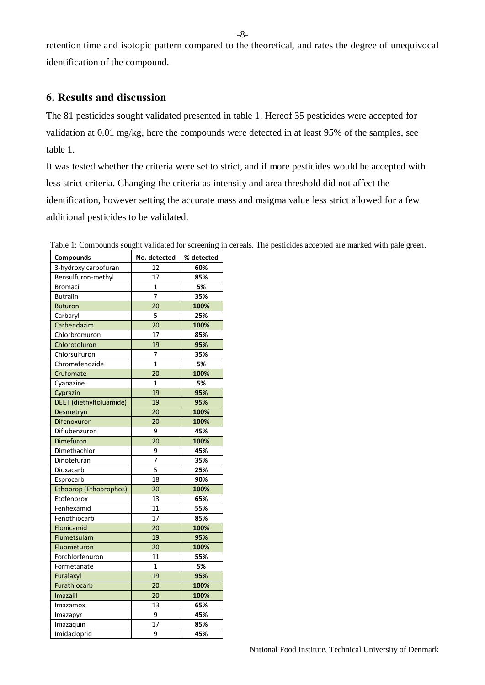-8-

retention time and isotopic pattern compared to the theoretical, and rates the degree of unequivocal identification of the compound.

# <span id="page-7-0"></span>**6. Results and discussion**

The 81 pesticides sought validated presented in table 1. Hereof 35 pesticides were accepted for validation at 0.01 mg/kg, here the compounds were detected in at least 95% of the samples, see table 1.

It was tested whether the criteria were set to strict, and if more pesticides would be accepted with less strict criteria. Changing the criteria as intensity and area threshold did not affect the identification, however setting the accurate mass and msigma value less strict allowed for a few additional pesticides to be validated.

| Compounds                     | No. detected    | % detected |
|-------------------------------|-----------------|------------|
| 3-hydroxy carbofuran          | 12              | 60%        |
| Bensulfuron-methyl            | 17              | 85%        |
| <b>Bromacil</b>               | 1               | 5%         |
| <b>Butralin</b>               | $\overline{7}$  | 35%        |
| <b>Buturon</b>                | $\overline{20}$ | 100%       |
| Carbaryl                      | 5               | 25%        |
| Carbendazim                   | 20              | 100%       |
| Chlorbromuron                 | 17              | 85%        |
| Chlorotoluron                 | 19              | 95%        |
| Chlorsulfuron                 | 7               | 35%        |
| Chromafenozide                | $\mathbf{1}$    | 5%         |
| Crufomate                     | 20              | 100%       |
| Cyanazine                     | $\mathbf{1}$    | 5%         |
| Cyprazin                      | 19              | 95%        |
| DEET (diethyltoluamide)       | 19              | 95%        |
| Desmetryn                     | 20              | 100%       |
| Difenoxuron                   | 20              | 100%       |
| Diflubenzuron                 | 9               | 45%        |
| Dimefuron                     | 20              | 100%       |
| Dimethachlor                  | 9               | 45%        |
| Dinotefuran                   | $\overline{7}$  | 35%        |
| Dioxacarb                     | 5               | 25%        |
| Esprocarb                     | 18              | 90%        |
| <b>Ethoprop (Ethoprophos)</b> | 20              | 100%       |
| Etofenprox                    | 13              | 65%        |
| Fenhexamid                    | 11              | 55%        |
| Fenothiocarb                  | 17              | 85%        |
| Flonicamid                    | 20              | 100%       |
| Flumetsulam                   | 19              | 95%        |
| Fluometuron                   | 20              | 100%       |
| Forchlorfenuron               | 11              | 55%        |
| Formetanate                   | $\overline{1}$  | 5%         |
| Furalaxyl                     | 19              | 95%        |
| Furathiocarb                  | 20              | 100%       |
| <b>Imazalil</b>               | 20              | 100%       |
| Imazamox                      | 13              | 65%        |
| Imazapyr                      | 9               | 45%        |
| Imazaquin                     | 17              | 85%        |
| Imidacloprid                  | 9               | 45%        |

Table 1: Compounds sought validated for screening in cereals. The pesticides accepted are marked with pale green.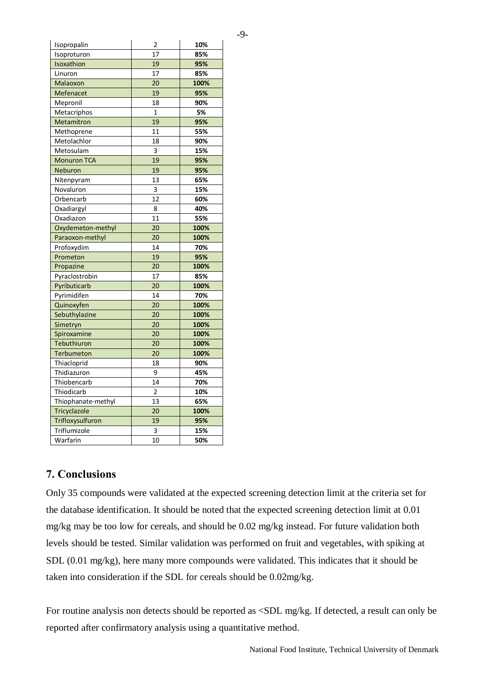| ٠<br>۰.<br>۰,<br>۰.<br>٠ |
|--------------------------|
|--------------------------|

| isopropalin        | ۷               | TN.  |
|--------------------|-----------------|------|
| Isoproturon        | 17              | 85%  |
| Isoxathion         | 19              | 95%  |
| Linuron            | 17              | 85%  |
| Malaoxon           | 20              | 100% |
| Mefenacet          | 19              | 95%  |
| Mepronil           | 18              | 90%  |
| Metacriphos        | $\mathbf{1}$    | 5%   |
| Metamitron         | 19              | 95%  |
| Methoprene         | 11              | 55%  |
| Metolachlor        | 18              | 90%  |
| Metosulam          | 3               | 15%  |
| <b>Monuron TCA</b> | 19              | 95%  |
| Neburon            | 19              | 95%  |
| Nitenpyram         | 13              | 65%  |
| Novaluron          | 3               | 15%  |
| Orbencarb          | 12              | 60%  |
| Oxadiargyl         | 8               | 40%  |
| Oxadiazon          | 11              | 55%  |
| Oxydemeton-methyl  | 20              | 100% |
| Paraoxon-methyl    | 20              | 100% |
| Profoxydim         | 14              | 70%  |
| Prometon           | 19              | 95%  |
| Propazine          | 20              | 100% |
| Pyraclostrobin     | 17              | 85%  |
| Pyributicarb       | 20              | 100% |
| Pyrimidifen        | 14              | 70%  |
| Quinoxyfen         | 20              | 100% |
| Sebuthylazine      | 20              | 100% |
| Simetryn           | 20              | 100% |
| Spiroxamine        | 20              | 100% |
| Tebuthiuron        | 20              | 100% |
| <b>Terbumeton</b>  | 20              | 100% |
| Thiacloprid        | 18              | 90%  |
| Thidiazuron        | 9               | 45%  |
| Thiobencarb        | 14              | 70%  |
| Thiodicarb         | $\overline{2}$  | 10%  |
| Thiophanate-methyl | 13              | 65%  |
| Tricyclazole       | $\overline{20}$ | 100% |
| Trifloxysulfuron   | 19              | 95%  |
| Triflumizole       | 3               | 15%  |
| Warfarin           | 10              | 50%  |
|                    |                 |      |

Isopropalin 2 **10%**

# <span id="page-8-0"></span>**7. Conclusions**

Only 35 compounds were validated at the expected screening detection limit at the criteria set for the database identification. It should be noted that the expected screening detection limit at 0.01 mg/kg may be too low for cereals, and should be 0.02 mg/kg instead. For future validation both levels should be tested. Similar validation was performed on fruit and vegetables, with spiking at SDL (0.01 mg/kg), here many more compounds were validated. This indicates that it should be taken into consideration if the SDL for cereals should be 0.02mg/kg.

For routine analysis non detects should be reported as <SDL mg/kg. If detected, a result can only be reported after confirmatory analysis using a quantitative method.